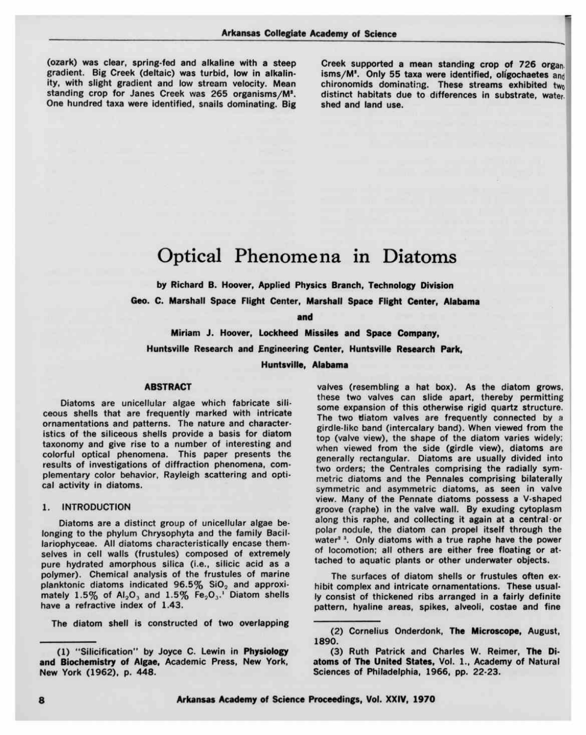(ozark) was clear, spring-fed and alkaline with a steep gradient. Big Creek (deltaic) was turbid, low in alkalinity, with slight gradient and low stream velocity. Mean standing crop for Janes Creek was 265 organisms/M\*. One hundred taxa were identified, snails dominating. Big Creek supported a mean standing crop of 726 organ. isms/M<sup>2</sup>. Only 55 taxa were identified, oligochaetes and chironomids dominating. These streams exhibited two distinct habitats due to differences in substrate, water shed and land use.

## Optical Phenomena in Diatoms

by Richard B. Hoover, Applied Physics Branch, Technology Division

Geo. C. Marshall Space Flight Center, Marshall Space Flight Center, Alabama

and

Miriam J. Hoover, Lockheed Missiles and Space Company, Huntsville Research and Engineering Center, Huntsville Research Park,

Huntsville, Alabama

#### ABSTRACT

Diatoms are unicellular algae which fabricate siliceous shells that are frequently marked with intricate ornamentations and patterns. The nature and characteristics of the siliceous shells provide a basis for diatom taxonomy and give rise to a number of interesting and colorful optical phenomena. This paper presents the results of investigations of diffraction phenomena, complementary color behavior, Rayleigh scattering and optical activity in diatoms.

#### 1. INTRODUCTION

Diatoms are a distinct group of unicellular algae belonging to the phylum Chrysophyta and the family Bacillariophyceae. All diatoms characteristically encase themselves in cell walls (frustules) composed of extremely pure hydrated amorphous silica (i.e., silicic acid as a polymer). Chemical analysis of the frustules of marine planktonic diatoms indicated  $96.5\%$  SiO<sub>2</sub> and approximately  $1.5\%$  of  $Al_2O_3$  and  $1.5\%$  Fe<sub>2</sub>O<sub>3</sub>.<sup>1</sup> Diatom shells have a refractive index of 1.43.

The diatom shell is constructed of two overlapping

valves (resembling a hat box). As the diatom grows, these two valves can slide apart, thereby permitting some expansion of this otherwise rigid quartz structure. The two diatom valves are frequently connected by a girdle-like band (intercalary band). When viewed from the top (valve view), the shape of the diatom varies widely; when viewed from the side (girdle view), diatoms are generally rectangular. Diatoms are usually divided into two orders; the Centrales comprising the radially symmetric diatoms and the Pennales comprising bilaterally symmetric and asymmetric diatoms, as seen in valve view. Many of the Pennate diatoms possess a V-shaped groove (raphe) in the valve wall. By exuding cytoplasm along this raphe, and collecting it again at a central or polar nodule, the diatom can propel itself through the water<sup>2</sup>. Only diatoms with a true raphe have the power of locomotion; all others are either free floating or attached to aquatic plants or other underwater objects.

The surfaces of diatom shells or frustules often exhibit complex and intricate ornamentations. These usually consist of thickened ribs arranged in a fairly definite pattern, hyaline areas, spikes, alveoli, costae and fine

<sup>(1)</sup> "Silicification" by Joyce C. Lewin in Physiology and Biochemistry of Algae, Academic Press, New York, New York (1962), p. 448.

<sup>(2)</sup> Cornelius Onderdonk, The Microscope, August, 1890.

<sup>(3)</sup> Ruth Patrick and Charles W. Reimer, The Diatoms of The United States, Vol. 1., Academy of Natural Sciences of Philadelphia, 1966, pp. 22-23.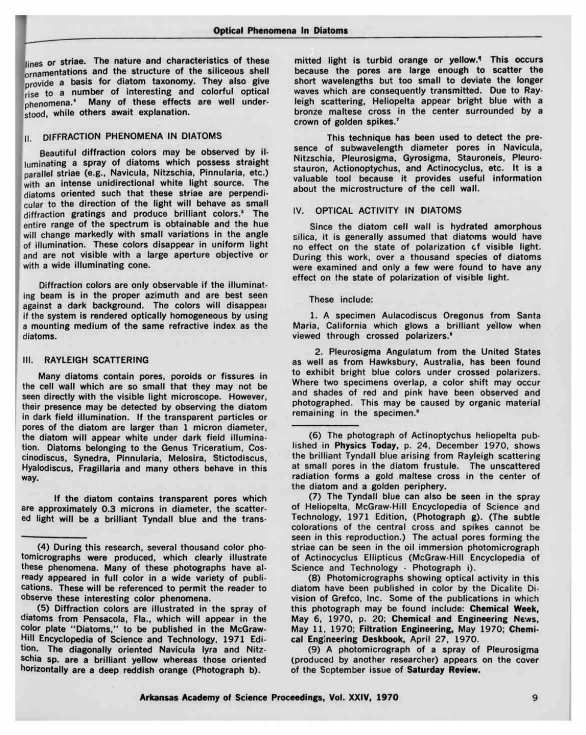lin<br>| orl<br>| pro<br>| ris lines or striae. The nature and characteristics of these ornamentations and the structure of the siliceous shell ornovide a basis for diatom taxonomy. They also give<br>rise to a number of interesting and colorful optical rise to <sup>a</sup> number of interesting and colorful optical phenomena.<sup>4</sup> Many of these effects are well understood, while others await explanation.

### II. DIFFRACTION PHENOMENA IN DIATOMS

1

Beautiful diffraction colors may be observed by illuminating a spray of diatoms which possess straight parallel striae (e.g., Navicula, Nitzschia, Pinnularia, etc.) with an intense unidirectional white light source. The diatoms oriented such that these striae are perpendicular to the direction of the light will behave as small diffraction gratings and produce brilliant colors.<sup>3</sup> The entire range of the spectrum is obtainable and the hue will change markedly with small variations in the angle of illumination. These colors disappear in uniform light and are not visible with a large aperture objective or with a wide illuminating cone.

Diffraction colors are only observable if the illuminating beam is in the proper azimuth and are best seen against a dark background. The colors will disappear if the system is rendered optically homogeneous by using a mounting medium of the same refractive index as the diatoms.

#### III. RAYLEIGH SCATTERING

Many diatoms contain pores, poroids or fissures in the cell wall which are so small that they may not be seen directly with the visible light microscope. However, their presence may be detected by observing the diatom in dark field illumination. If the transparent particles or pores of the diatom are larger than 1 micron diameter, the diatom will appear white under dark field illumination. Diatoms belonging to the Genus Triceratium, Coscinodiscus, Synedra, Pinnularia, Melosira, Stictodiscus, Hyalodiscus, Fragillaria and many others behave in this their preser<br>in dark field<br>pores of the<br>the diatom<br>tion. Diato<br>cinodiscus,<br>Hyalodiscus<br>way.<br>If the approxical light will<br>(4) Dur

If the diatom contains transparent pores which are approximately 0.3 microns in diameter, the scattered light will be a brilliant Tyndall blue and the trans-

(5) Diffraction colors are illustrated in the spray of diatoms from Pensacola, Fla., which will appear in the color plate "Diatoms," to be published in the McGraw-Hill Encyclopedia of Science and Technology, 1971 Edition. The diagonally oriented Navicula lyra and Nitzschia sp. are a brilliant yellow whereas those oriented horizontally are a deep reddish orange (Photograph b).

mitted light is turbid orange or yellow.<sup>4</sup> This occurs because the pores are large enough to scatter the short wavelengths but too small to deviate the longer waves which are consequently transmitted. Due to Rayleigh scattering, Heliopelta appear bright blue with a bronze maltese cross in the center surrounded by a crown of golden spikes.<sup>7</sup>

This technique has been used to detect the presence of subwavelength diameter pores in Navicula, Nitzschia, Pleurosigma, Gyrosigma, Stauroneis, Pleurostauron, Actionoptychus, and Actinocyclus, etc. It is <sup>a</sup> valuable tool because it provides useful information about the microstructure of the cell wall.

#### IV. OPTICAL ACTIVITY IN DIATOMS

Since the diatom cell wall is hydrated amorphous silica, it is generally assumed that diatoms would have no effect on the state of polarization cf visible light. During this work, over a thousand species of diatoms were examined and only a few were found to have any effect on the state of polarization of visible light.

These include:

1. A specimen Aulacodiscus Oregonus from Santa Maria, California which glows a brilliant yellow when viewed through crossed polarizers.<sup>6</sup>

2. Pleurosigma Angulatum from the United States as well as from Hawksbury, Australia, has been found to exhibit bright blue colors under crossed polarizers. Where two specimens overlap, a color shift may occur and shades of red and pink have been observed and photographed. This may be caused by organic material remaining in the specimen.<sup>\*</sup>

(6) The photograph of Actinoptychus heliopelta published in Physics Today, p. 24, December 1970, shows the brilliant Tyndall blue arising from Rayleigh scattering at small pores in the diatom frustule. The unscattered radiation forms a gold maltese cross in the center of the diatom and a golden periphery.

(7) The Tyndall blue can also be seen in the spray of Heliopelta, McGraw-Hill Encyclopedia of Science and Technology, 1971 Edition, (Photograph g). (The subtle colorations of the central cross and spikes cannot be seen in this reproduction.) The actual pores forming the striae can be seen in the oil immersion photomicrograph of Actinocyclus Ellipticus (McGraw-Hill Encyclopedia of Science and Technology - Photograph i).

(8) Photomicrographs showing optical activity in this diatom have been published in color by the Dicalite Division of Grefco, Inc. Some of the publications in which this photograph may be found include: Chemical Week, May 6, 1970, p. 20; Chemical and Engineering News, May 11, 1970; Filtration Engineering, May 1970; Chemical Engineering Deskbook, April 27, 1970.

(9) A photomicrograph of a spray of Pleurosigma (produced by another researcher) appears on the cover of the September issue of Saturday Review.

<sup>(4)</sup> During this research, several thousand color photomicrographs were produced, which clearly illustrate these phenomena. Many of these photographs have already appeared in full color in a wide variety of publications. Th tomicrographs were produced, which clearly illustrate these phenomena. Many of these photographs have ally appeared in full color in a wide variety of publications. These will be referenced to permit the reader to observe these interesting color phenomena.